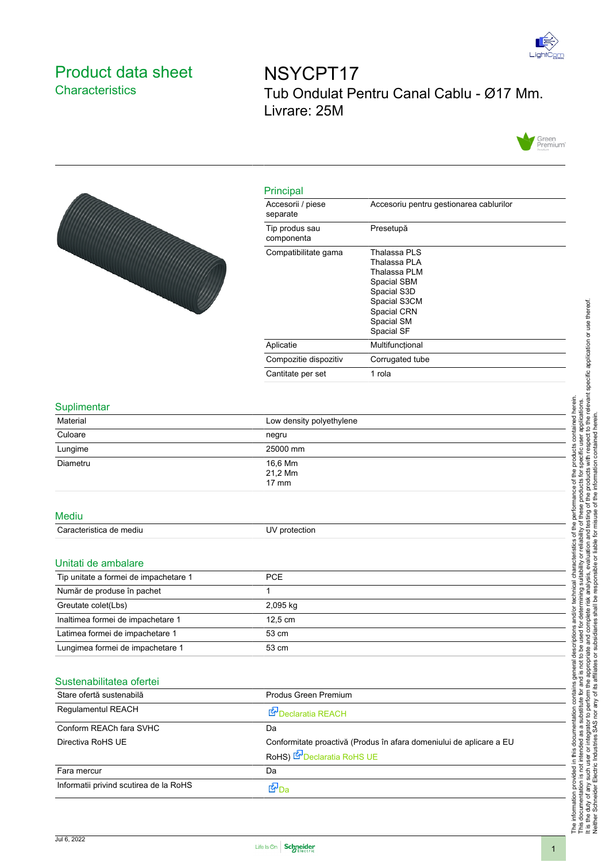

## <span id="page-0-0"></span>Product data sheet **Characteristics**

NSYCPT17 Tub Ondulat Pentru Canal Cablu - Ø17 Mm. Livrare: 25M





| Principal                     |                                                                                                                                       |
|-------------------------------|---------------------------------------------------------------------------------------------------------------------------------------|
| Accesorii / piese<br>separate | Accesoriu pentru gestionarea cablurilor                                                                                               |
| Tip produs sau<br>componenta  | Presetupă                                                                                                                             |
| Compatibilitate gama          | Thalassa PLS<br>Thalassa PLA<br>Thalassa PLM<br>Spacial SBM<br>Spacial S3D<br>Spacial S3CM<br>Spacial CRN<br>Spacial SM<br>Spacial SF |
| Aplicatie                     | Multifuncțional                                                                                                                       |
| Compozitie dispozitiv         | Corrugated tube                                                                                                                       |
| Cantitate per set             | 1 rola                                                                                                                                |

## Suplimentar

| oupmnontur                            |                                                                                                          |
|---------------------------------------|----------------------------------------------------------------------------------------------------------|
| Material                              | Low density polyethylene                                                                                 |
| Culoare                               | negru                                                                                                    |
| Lungime                               | 25000 mm                                                                                                 |
| Diametru                              | 16,6 Mm<br>21,2 Mm<br>$17 \text{ mm}$                                                                    |
| <b>Mediu</b>                          |                                                                                                          |
| Caracteristica de mediu               | UV protection                                                                                            |
| Unitati de ambalare                   |                                                                                                          |
| Tip unitate a formei de impachetare 1 | <b>PCE</b>                                                                                               |
| Număr de produse în pachet            | 1                                                                                                        |
| Greutate colet(Lbs)                   | 2,095 kg                                                                                                 |
| Inaltimea formei de impachetare 1     | 12,5 cm                                                                                                  |
| Latimea formei de impachetare 1       | 53 cm                                                                                                    |
| Lungimea formei de impachetare 1      | 53 cm                                                                                                    |
| Sustenabilitatea ofertei              |                                                                                                          |
| Stare ofertă sustenabilă              | Produs Green Premium                                                                                     |
| Regulamentul REACH                    | Declaratia REACH                                                                                         |
| Conform REACh fara SVHC               | Da                                                                                                       |
| Directiva RoHS UE                     | Conformitate proactivă (Produs în afara domeniului de aplicare a EU<br>RoHS) <b>B</b> Declaratia RoHS UE |

<u>Fara mercur</u> Da Informatii privind scutirea de la RoHS